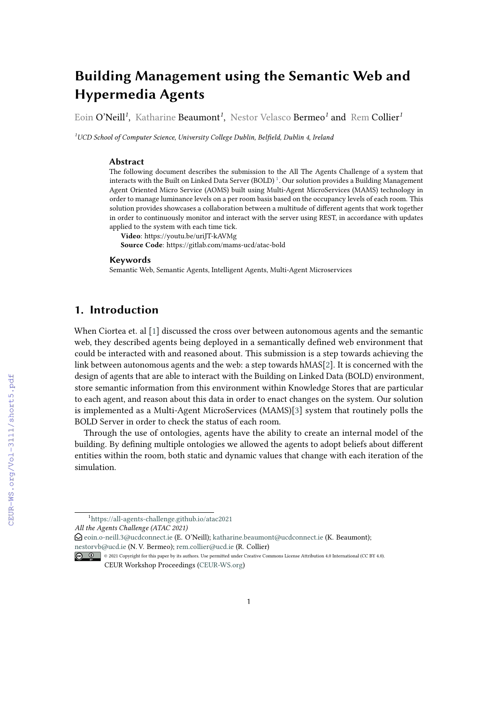# **Building Management using the Semantic Web and Hypermedia Agents**

Eoin O'Neill*<sup>1</sup>* , Katharine Beaumont*<sup>1</sup>* , Nestor Velasco Bermeo*<sup>1</sup>* and Rem Collier*<sup>1</sup>*

*<sup>1</sup>UCD School of Computer Science, University College Dublin, Belfield, Dublin 4, Ireland*

#### **Abstract**

The following document describes the submission to the All The Agents Challenge of a system that interacts with the Built on Linked Data Server (BOLD)<sup>[1](#page-0-0)</sup>. Our solution provides a Building Management Agent Oriented Micro Service (AOMS) built using Multi-Agent MicroServices (MAMS) technology in order to manage luminance levels on a per room basis based on the occupancy levels of each room. This solution provides showcases a collaboration between a multitude of different agents that work together in order to continuously monitor and interact with the server using REST, in accordance with updates applied to the system with each time tick.

**Video**: https://youtu.be/uriJT-kAVMg **Source Code**: https://gitlab.com/mams-ucd/atac-bold

#### **Keywords**

Semantic Web, Semantic Agents, Intelligent Agents, Multi-Agent Microservices

## **1. Introduction**

When Ciortea et. al [\[1\]](#page--1-0) discussed the cross over between autonomous agents and the semantic web, they described agents being deployed in a semantically defined web environment that could be interacted with and reasoned about. This submission is a step towards achieving the link between autonomous agents and the web: a step towards hMAS[\[2\]](#page--1-1). It is concerned with the design of agents that are able to interact with the Building on Linked Data (BOLD) environment, store semantic information from this environment within Knowledge Stores that are particular to each agent, and reason about this data in order to enact changes on the system. Our solution is implemented as a Multi-Agent MicroServices (MAMS)[\[3\]](#page--1-2) system that routinely polls the BOLD Server in order to check the status of each room.

Through the use of ontologies, agents have the ability to create an internal model of the building. By defining multiple ontologies we allowed the agents to adopt beliefs about different entities within the room, both static and dynamic values that change with each iteration of the simulation.

*All the Agents Challenge (ATAC 2021)*

 $\Theta$  [eoin.o-neill.3@ucdconnect.ie](mailto:eoin.o-neill.3@ucdconnect.ie) (E. O'Neill); [katharine.beaumont@ucdconnect.ie](mailto:katharine.beaumont@ucdconnect.ie) (K. Beaumont); [nestorvb@ucd.ie](mailto:nestorvb@ucd.ie) (N. V. Bermeo); [rem.collier@ucd.ie](mailto:rem.collier@ucd.ie) (R. Collier)

<span id="page-0-0"></span><sup>1</sup> [https://all-agents-challenge.github.io/atac2021](https://all-agents-challenge.github.io/atac2021/)

<sup>©</sup> 2021 Copyright for this paper by its authors. Use permitted under Creative Commons License Attribution 4.0 International (CC BY 4.0). CEUR Workshop Proceedings [\(CEUR-WS.org\)](http://ceur-ws.org)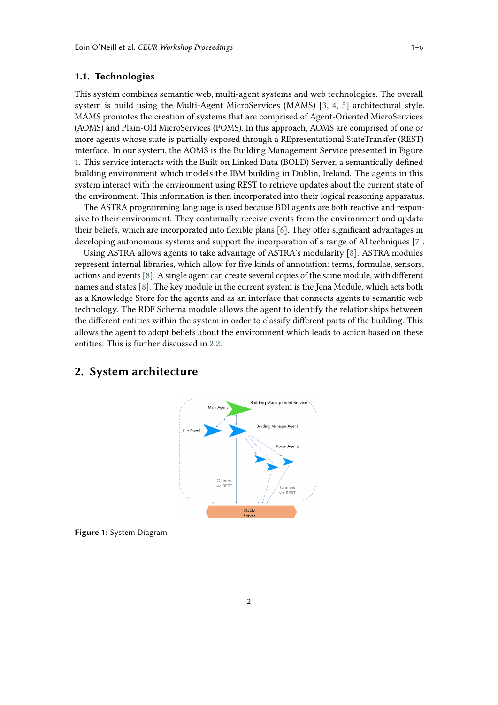### **1.1. Technologies**

This system combines semantic web, multi-agent systems and web technologies. The overall system is build using the Multi-Agent MicroServices (MAMS) [\[3,](#page-5-0) [4,](#page-5-1) [5\]](#page-5-2) architectural style. MAMS promotes the creation of systems that are comprised of Agent-Oriented MicroServices (AOMS) and Plain-Old MicroServices (POMS). In this approach, AOMS are comprised of one or more agents whose state is partially exposed through a REpresentational StateTransfer (REST) interface. In our system, the AOMS is the Building Management Service presented in Figure [1.](#page-1-0) This service interacts with the Built on Linked Data (BOLD) Server, a semantically defined building environment which models the IBM building in Dublin, Ireland. The agents in this system interact with the environment using REST to retrieve updates about the current state of the environment. This information is then incorporated into their logical reasoning apparatus.

The ASTRA programming language is used because BDI agents are both reactive and responsive to their environment. They continually receive events from the environment and update their beliefs, which are incorporated into flexible plans [\[6\]](#page-5-3). They offer significant advantages in developing autonomous systems and support the incorporation of a range of AI techniques [\[7\]](#page-5-4).

Using ASTRA allows agents to take advantage of ASTRA's modularity [\[8\]](#page-5-5). ASTRA modules represent internal libraries, which allow for five kinds of annotation: terms, formulae, sensors, actions and events [\[8\]](#page-5-5). A single agent can create several copies of the same module, with different names and states [\[8\]](#page-5-5). The key module in the current system is the Jena Module, which acts both as a Knowledge Store for the agents and as an interface that connects agents to semantic web technology. The RDF Schema module allows the agent to identify the relationships between the different entities within the system in order to classify different parts of the building. This allows the agent to adopt beliefs about the environment which leads to action based on these entities. This is further discussed in [2.2.](#page-2-0)

<span id="page-1-0"></span>

## **2. System architecture**

**Figure 1:** System Diagram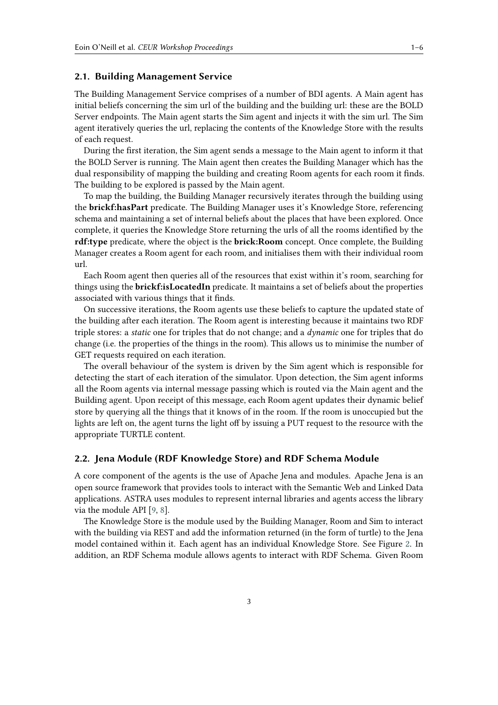#### **2.1. Building Management Service**

The Building Management Service comprises of a number of BDI agents. A Main agent has initial beliefs concerning the sim url of the building and the building url: these are the BOLD Server endpoints. The Main agent starts the Sim agent and injects it with the sim url. The Sim agent iteratively queries the url, replacing the contents of the Knowledge Store with the results of each request.

During the first iteration, the Sim agent sends a message to the Main agent to inform it that the BOLD Server is running. The Main agent then creates the Building Manager which has the dual responsibility of mapping the building and creating Room agents for each room it finds. The building to be explored is passed by the Main agent.

To map the building, the Building Manager recursively iterates through the building using the **brickf:hasPart** predicate. The Building Manager uses it's Knowledge Store, referencing schema and maintaining a set of internal beliefs about the places that have been explored. Once complete, it queries the Knowledge Store returning the urls of all the rooms identified by the **rdf:type** predicate, where the object is the **brick:Room** concept. Once complete, the Building Manager creates a Room agent for each room, and initialises them with their individual room url.

Each Room agent then queries all of the resources that exist within it's room, searching for things using the **brickf:isLocatedIn** predicate. It maintains a set of beliefs about the properties associated with various things that it finds.

On successive iterations, the Room agents use these beliefs to capture the updated state of the building after each iteration. The Room agent is interesting because it maintains two RDF triple stores: a *static* one for triples that do not change; and a *dynamic* one for triples that do change (i.e. the properties of the things in the room). This allows us to minimise the number of GET requests required on each iteration.

The overall behaviour of the system is driven by the Sim agent which is responsible for detecting the start of each iteration of the simulator. Upon detection, the Sim agent informs all the Room agents via internal message passing which is routed via the Main agent and the Building agent. Upon receipt of this message, each Room agent updates their dynamic belief store by querying all the things that it knows of in the room. If the room is unoccupied but the lights are left on, the agent turns the light off by issuing a PUT request to the resource with the appropriate TURTLE content.

#### <span id="page-2-0"></span>**2.2. Jena Module (RDF Knowledge Store) and RDF Schema Module**

A core component of the agents is the use of Apache Jena and modules. Apache Jena is an open source framework that provides tools to interact with the Semantic Web and Linked Data applications. ASTRA uses modules to represent internal libraries and agents access the library via the module API [\[9,](#page-5-6) [8\]](#page-5-5).

The Knowledge Store is the module used by the Building Manager, Room and Sim to interact with the building via REST and add the information returned (in the form of turtle) to the Jena model contained within it. Each agent has an individual Knowledge Store. See Figure [2.](#page-3-0) In addition, an RDF Schema module allows agents to interact with RDF Schema. Given Room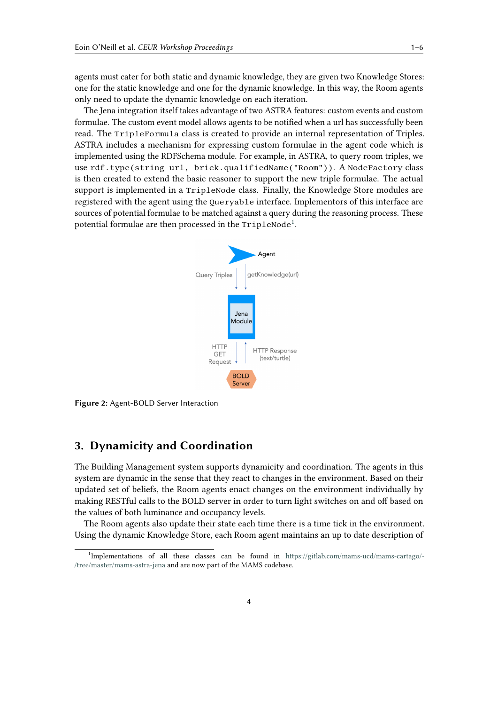agents must cater for both static and dynamic knowledge, they are given two Knowledge Stores: one for the static knowledge and one for the dynamic knowledge. In this way, the Room agents only need to update the dynamic knowledge on each iteration.

The Jena integration itself takes advantage of two ASTRA features: custom events and custom formulae. The custom event model allows agents to be notified when a url has successfully been read. The TripleFormula class is created to provide an internal representation of Triples. ASTRA includes a mechanism for expressing custom formulae in the agent code which is implemented using the RDFSchema module. For example, in ASTRA, to query room triples, we use rdf.type(string url, brick.qualifiedName("Room")). A NodeFactory class is then created to extend the basic reasoner to support the new triple formulae. The actual support is implemented in a TripleNode class. Finally, the Knowledge Store modules are registered with the agent using the Queryable interface. Implementors of this interface are sources of potential formulae to be matched against a query during the reasoning process. These potential formulae are then processed in the <code>TripleNode $^{\rm l}$ .</code>

<span id="page-3-0"></span>

**Figure 2:** Agent-BOLD Server Interaction

## **3. Dynamicity and Coordination**

The Building Management system supports dynamicity and coordination. The agents in this system are dynamic in the sense that they react to changes in the environment. Based on their updated set of beliefs, the Room agents enact changes on the environment individually by making RESTful calls to the BOLD server in order to turn light switches on and off based on the values of both luminance and occupancy levels.

The Room agents also update their state each time there is a time tick in the environment. Using the dynamic Knowledge Store, each Room agent maintains an up to date description of

<span id="page-3-1"></span><sup>1</sup> Implementations of all these classes can be found in [https://gitlab.com/mams-ucd/mams-cartago/-](https://gitlab.com/mams-ucd/mams-cartago/-/tree/master/mams-astra-jena) [/tree/master/mams-astra-jena](https://gitlab.com/mams-ucd/mams-cartago/-/tree/master/mams-astra-jena) and are now part of the MAMS codebase.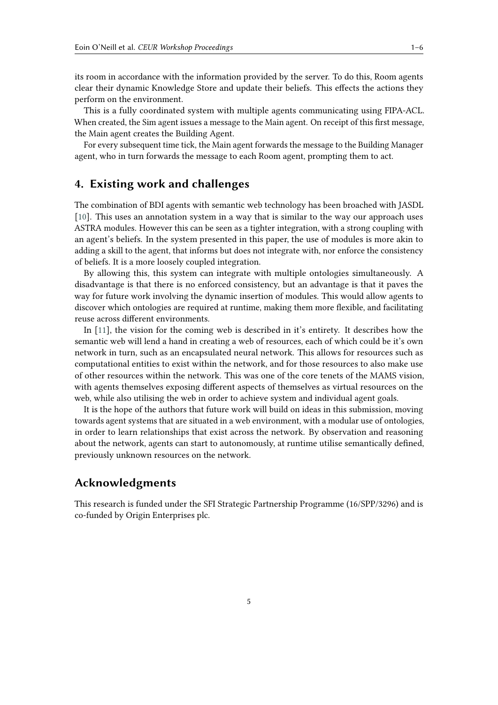its room in accordance with the information provided by the server. To do this, Room agents clear their dynamic Knowledge Store and update their beliefs. This effects the actions they perform on the environment.

This is a fully coordinated system with multiple agents communicating using FIPA-ACL. When created, the Sim agent issues a message to the Main agent. On receipt of this first message, the Main agent creates the Building Agent.

For every subsequent time tick, the Main agent forwards the message to the Building Manager agent, who in turn forwards the message to each Room agent, prompting them to act.

## **4. Existing work and challenges**

The combination of BDI agents with semantic web technology has been broached with JASDL [\[10\]](#page-5-7). This uses an annotation system in a way that is similar to the way our approach uses ASTRA modules. However this can be seen as a tighter integration, with a strong coupling with an agent's beliefs. In the system presented in this paper, the use of modules is more akin to adding a skill to the agent, that informs but does not integrate with, nor enforce the consistency of beliefs. It is a more loosely coupled integration.

By allowing this, this system can integrate with multiple ontologies simultaneously. A disadvantage is that there is no enforced consistency, but an advantage is that it paves the way for future work involving the dynamic insertion of modules. This would allow agents to discover which ontologies are required at runtime, making them more flexible, and facilitating reuse across different environments.

In [\[11\]](#page-5-8), the vision for the coming web is described in it's entirety. It describes how the semantic web will lend a hand in creating a web of resources, each of which could be it's own network in turn, such as an encapsulated neural network. This allows for resources such as computational entities to exist within the network, and for those resources to also make use of other resources within the network. This was one of the core tenets of the MAMS vision, with agents themselves exposing different aspects of themselves as virtual resources on the web, while also utilising the web in order to achieve system and individual agent goals.

It is the hope of the authors that future work will build on ideas in this submission, moving towards agent systems that are situated in a web environment, with a modular use of ontologies, in order to learn relationships that exist across the network. By observation and reasoning about the network, agents can start to autonomously, at runtime utilise semantically defined, previously unknown resources on the network.

## **Acknowledgments**

This research is funded under the SFI Strategic Partnership Programme (16/SPP/3296) and is co-funded by Origin Enterprises plc.